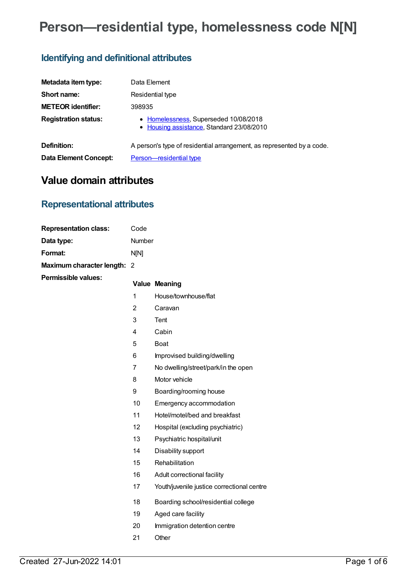# **Person—residential type, homelessness code N[N]**

## **Identifying and definitional attributes**

| Metadata item type:         | Data Element                                                                       |
|-----------------------------|------------------------------------------------------------------------------------|
| Short name:                 | Residential type                                                                   |
| <b>METEOR identifier:</b>   | 398935                                                                             |
| <b>Registration status:</b> | • Homelessness, Superseded 10/08/2018<br>• Housing assistance, Standard 23/08/2010 |
| Definition:                 | A person's type of residential arrangement, as represented by a code.              |
| Data Element Concept:       | Person-residential type                                                            |

## **Value domain attributes**

## **Representational attributes**

| <b>Representation class:</b> | Code        |
|------------------------------|-------------|
| Data type:                   | Number      |
| Format:                      | <b>NIN1</b> |
| Maximum character length: 2  |             |
| <b>Permissible values:</b>   |             |

| э. |    | <b>Value Meaning</b>                       |
|----|----|--------------------------------------------|
|    | 1  | House/townhouse/flat                       |
|    | 2  | Caravan                                    |
|    | 3  | Tent                                       |
|    | 4  | Cabin                                      |
|    | 5  | <b>Boat</b>                                |
|    | 6  | Improvised building/dwelling               |
|    | 7  | No dwelling/street/park/in the open        |
|    | 8  | Motor vehicle                              |
|    | 9  | Boarding/rooming house                     |
|    | 10 | Emergency accommodation                    |
|    | 11 | Hotel/motel/bed and breakfast              |
|    | 12 | Hospital (excluding psychiatric)           |
|    | 13 | Psychiatric hospital/unit                  |
|    | 14 | Disability support                         |
|    | 15 | Rehabilitation                             |
|    | 16 | Adult correctional facility                |
|    | 17 | Youth/juvenile justice correctional centre |
|    | 18 | Boarding school/residential college        |
|    | 19 | Aged care facility                         |
|    | 20 | Immigration detention centre               |
|    | 21 | Other                                      |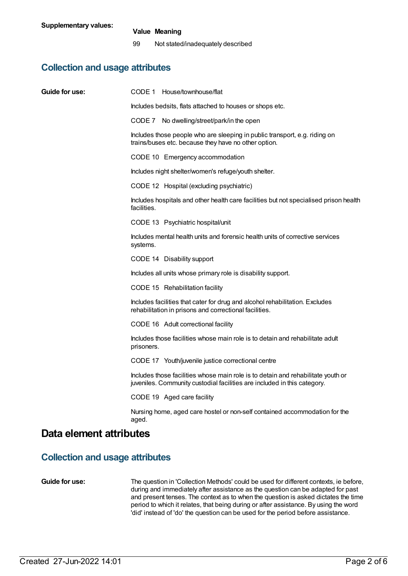### **Value Meaning**

99 Not stated/inadequately described

## **Collection and usage attributes**

| Guide for use:                         | CODE 1 House/townhouse/flat                                                                                                                                  |
|----------------------------------------|--------------------------------------------------------------------------------------------------------------------------------------------------------------|
|                                        | Includes bedsits, flats attached to houses or shops etc.                                                                                                     |
|                                        | CODE 7 No dwelling/street/park/in the open                                                                                                                   |
|                                        | Includes those people who are sleeping in public transport, e.g. riding on<br>trains/buses etc. because they have no other option.                           |
|                                        | CODE 10 Emergency accommodation                                                                                                                              |
|                                        | Includes night shelter/women's refuge/youth shelter.                                                                                                         |
|                                        | CODE 12 Hospital (excluding psychiatric)                                                                                                                     |
|                                        | Includes hospitals and other health care facilities but not specialised prison health<br>facilities.                                                         |
|                                        | CODE 13 Psychiatric hospital/unit                                                                                                                            |
|                                        | Includes mental health units and forensic health units of corrective services<br>systems.                                                                    |
|                                        | CODE 14 Disability support                                                                                                                                   |
|                                        | Includes all units whose primary role is disability support.                                                                                                 |
|                                        | CODE 15 Rehabilitation facility                                                                                                                              |
|                                        | Includes facilities that cater for drug and alcohol rehabilitation. Excludes<br>rehabilitation in prisons and correctional facilities.                       |
|                                        | CODE 16 Adult correctional facility                                                                                                                          |
|                                        | Includes those facilities whose main role is to detain and rehabilitate adult<br>prisoners.                                                                  |
|                                        | CODE 17 Youth/juvenile justice correctional centre                                                                                                           |
|                                        | Includes those facilities whose main role is to detain and rehabilitate youth or<br>juveniles. Community custodial facilities are included in this category. |
|                                        | CODE 19 Aged care facility                                                                                                                                   |
|                                        | Nursing home, aged care hostel or non-self contained accommodation for the<br>aged.                                                                          |
| Data element attributes                |                                                                                                                                                              |
| <b>Collection and usage attributes</b> |                                                                                                                                                              |

**Guide for use:** The question in 'Collection Methods' could be used for different contexts, ie before, during and immediately after assistance as the question can be adapted for past and present tenses. The context as to when the question is asked dictates the time period to which it relates, that being during or after assistance. By using the word 'did' instead of 'do' the question can be used for the period before assistance.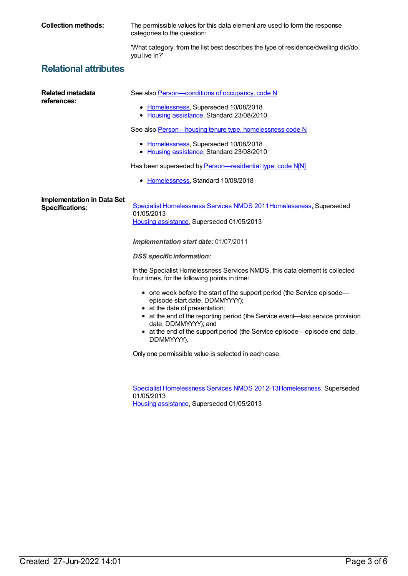**Collection methods:** The permissible values for this data element are used to form the response categories to the question:

> 'What category, from the list best describes the type of residence/dwelling did/do you live in?'

## **Relational attributes**

| Related metadata<br>references:                             | See also <b>Person</b> —conditions of occupancy, code N                                                                                                                                                                                                                                                                                          |
|-------------------------------------------------------------|--------------------------------------------------------------------------------------------------------------------------------------------------------------------------------------------------------------------------------------------------------------------------------------------------------------------------------------------------|
|                                                             |                                                                                                                                                                                                                                                                                                                                                  |
|                                                             | • Homelessness, Superseded 10/08/2018<br>• Housing assistance, Standard 23/08/2010                                                                                                                                                                                                                                                               |
|                                                             | See also Person-housing tenure type, homelessness code N                                                                                                                                                                                                                                                                                         |
|                                                             | • Homelessness, Superseded 10/08/2018<br>• Housing assistance, Standard 23/08/2010                                                                                                                                                                                                                                                               |
|                                                             | Has been superseded by Person-residential type, code N[N]                                                                                                                                                                                                                                                                                        |
|                                                             | • Homelessness, Standard 10/08/2018                                                                                                                                                                                                                                                                                                              |
| <b>Implementation in Data Set</b><br><b>Specifications:</b> | Specialist Homelessness Services NMDS 2011Homelessness, Superseded<br>01/05/2013<br>Housing assistance, Superseded 01/05/2013                                                                                                                                                                                                                    |
|                                                             | Implementation start date: 01/07/2011                                                                                                                                                                                                                                                                                                            |
|                                                             | <b>DSS</b> specific information:                                                                                                                                                                                                                                                                                                                 |
|                                                             | In the Specialist Homelessness Services NMDS, this data element is collected<br>four times, for the following points in time:                                                                                                                                                                                                                    |
|                                                             | • one week before the start of the support period (the Service episode-<br>episode start date, DDMMYYYY);<br>• at the date of presentation;<br>• at the end of the reporting period (the Service event-last service provision<br>date, DDMMYYYY); and<br>• at the end of the support period (the Service episode-episode end date,<br>DDMMYYYY). |
|                                                             | Only one permissible value is selected in each case.                                                                                                                                                                                                                                                                                             |
|                                                             |                                                                                                                                                                                                                                                                                                                                                  |
|                                                             | Specialist Homelessness Services NMDS 2012-13 Homelessness, Superseded<br>01/05/2013                                                                                                                                                                                                                                                             |
|                                                             | Housing assistance, Superseded 01/05/2013                                                                                                                                                                                                                                                                                                        |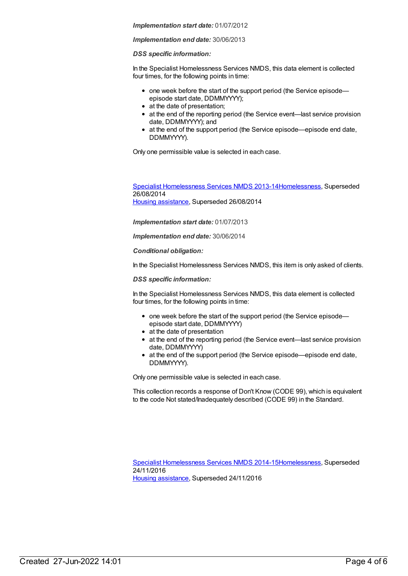### *Implementation start date:* 01/07/2012

### *Implementation end date:* 30/06/2013

### *DSS specific information:*

In the Specialist Homelessness Services NMDS, this data element is collected four times, for the following points in time:

- one week before the start of the support period (the Service episodeepisode start date, DDMMYYYY);
- at the date of presentation;
- at the end of the reporting period (the Service event—last service provision date, DDMMYYYY); and
- at the end of the support period (the Service episode—episode end date, DDMMYYYY).

Only one permissible value is selected in each case.

Specialist [Homelessness](https://meteor.aihw.gov.au/content/505626) Services NMDS 2013-1[4Homelessness](https://meteor.aihw.gov.au/RegistrationAuthority/14), Superseded 26/08/2014 Housing [assistance](https://meteor.aihw.gov.au/RegistrationAuthority/11), Superseded 26/08/2014

*Implementation start date:* 01/07/2013

*Implementation end date:* 30/06/2014

*Conditional obligation:*

In the Specialist Homelessness Services NMDS, this item is only asked of clients.

*DSS specific information:*

In the Specialist Homelessness Services NMDS, this data element is collected four times, for the following points in time:

- one week before the start of the support period (the Service episode episode start date, DDMMYYYY)
- at the date of presentation
- at the end of the reporting period (the Service event—last service provision date, DDMMYYYY)
- at the end of the support period (the Service episode—episode end date, DDMMYYYY).

Only one permissible value is selected in each case.

This collection records a response of Don't Know (CODE 99), which is equivalent to the code Not stated/Inadequately described (CODE 99) in the Standard.

Specialist [Homelessness](https://meteor.aihw.gov.au/content/581255) Services NMDS 2014-1[5Homelessness](https://meteor.aihw.gov.au/RegistrationAuthority/14), Superseded 24/11/2016 Housing [assistance](https://meteor.aihw.gov.au/RegistrationAuthority/11), Superseded 24/11/2016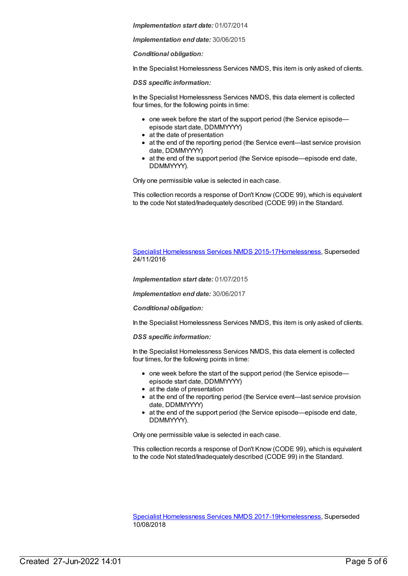*Implementation start date:* 01/07/2014

*Implementation end date:* 30/06/2015

*Conditional obligation:*

In the Specialist Homelessness Services NMDS, this item is only asked of clients.

*DSS specific information:*

In the Specialist Homelessness Services NMDS, this data element is collected four times, for the following points in time:

- one week before the start of the support period (the Service episode episode start date, DDMMYYYY)
- at the date of presentation
- at the end of the reporting period (the Service event—last service provision date, DDMMYYYY)
- at the end of the support period (the Service episode—episode end date, DDMMYYYY).

Only one permissible value is selected in each case.

This collection records a response of Don't Know (CODE 99), which is equivalent to the code Not stated/Inadequately described (CODE 99) in the Standard.

Specialist [Homelessness](https://meteor.aihw.gov.au/content/658005) Services NMDS 2015-1[7Homelessness](https://meteor.aihw.gov.au/RegistrationAuthority/14), Superseded 24/11/2016

*Implementation start date:* 01/07/2015

*Implementation end date:* 30/06/2017

*Conditional obligation:*

In the Specialist Homelessness Services NMDS, this item is only asked of clients.

*DSS specific information:*

In the Specialist Homelessness Services NMDS, this data element is collected four times, for the following points in time:

- one week before the start of the support period (the Service episodeepisode start date, DDMMYYYY)
- at the date of presentation
- at the end of the reporting period (the Service event—last service provision date, DDMMYYYY)
- at the end of the support period (the Service episode—episode end date, DDMMYYYY).

Only one permissible value is selected in each case.

This collection records a response of Don't Know (CODE 99), which is equivalent to the code Not stated/Inadequately described (CODE 99) in the Standard.

Specialist [Homelessness](https://meteor.aihw.gov.au/content/650006) Services NMDS 2017-1[9Homelessness](https://meteor.aihw.gov.au/RegistrationAuthority/14), Superseded 10/08/2018